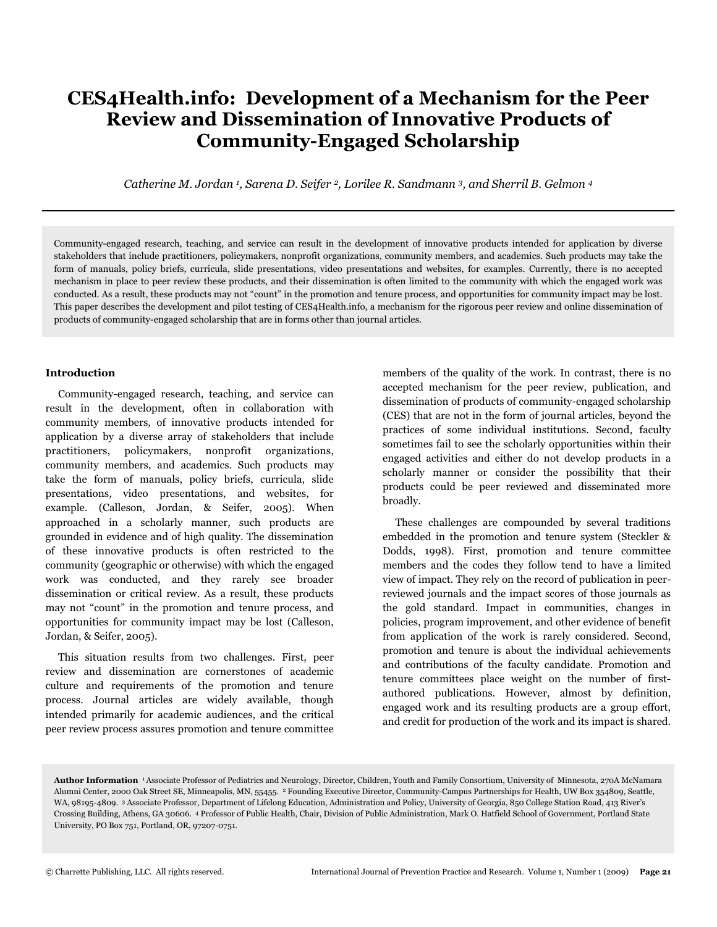# **CES4Health.info: Development of a Mechanism for the Peer Review and Dissemination of Innovative Products of Community-Engaged Scholarship**

*Catherine M. Jordan <sup>1</sup> , Sarena D. Seifer 2, Lorilee R. Sandmann 3, and Sherril B. Gelmon <sup>4</sup>*

Community-engaged research, teaching, and service can result in the development of innovative products intended for application by diverse stakeholders that include practitioners, policymakers, nonprofit organizations, community members, and academics. Such products may take the form of manuals, policy briefs, curricula, slide presentations, video presentations and websites, for examples. Currently, there is no accepted mechanism in place to peer review these products, and their dissemination is often limited to the community with which the engaged work was conducted. As a result, these products may not "count" in the promotion and tenure process, and opportunities for community impact may be lost. This paper describes the development and pilot testing of CES4Health.info, a mechanism for the rigorous peer review and online dissemination of products of community-engaged scholarship that are in forms other than journal articles.

#### **Introduction**

 Community-engaged research, teaching, and service can result in the development, often in collaboration with community members, of innovative products intended for application by a diverse array of stakeholders that include practitioners, policymakers, nonprofit organizations, community members, and academics. Such products may take the form of manuals, policy briefs, curricula, slide presentations, video presentations, and websites, for example. (Calleson, Jordan, & Seifer, 2005). When approached in a scholarly manner, such products are grounded in evidence and of high quality. The dissemination of these innovative products is often restricted to the community (geographic or otherwise) with which the engaged work was conducted, and they rarely see broader dissemination or critical review. As a result, these products may not "count" in the promotion and tenure process, and opportunities for community impact may be lost (Calleson, Jordan, & Seifer, 2005).

 This situation results from two challenges. First, peer review and dissemination are cornerstones of academic culture and requirements of the promotion and tenure process. Journal articles are widely available, though intended primarily for academic audiences, and the critical peer review process assures promotion and tenure committee members of the quality of the work. In contrast, there is no accepted mechanism for the peer review, publication, and dissemination of products of community-engaged scholarship (CES) that are not in the form of journal articles, beyond the practices of some individual institutions. Second, faculty sometimes fail to see the scholarly opportunities within their engaged activities and either do not develop products in a scholarly manner or consider the possibility that their products could be peer reviewed and disseminated more broadly.

 These challenges are compounded by several traditions embedded in the promotion and tenure system (Steckler & Dodds, 1998). First, promotion and tenure committee members and the codes they follow tend to have a limited view of impact. They rely on the record of publication in peerreviewed journals and the impact scores of those journals as the gold standard. Impact in communities, changes in policies, program improvement, and other evidence of benefit from application of the work is rarely considered. Second, promotion and tenure is about the individual achievements and contributions of the faculty candidate. Promotion and tenure committees place weight on the number of firstauthored publications. However, almost by definition, engaged work and its resulting products are a group effort, and credit for production of the work and its impact is shared.

**Author Information** 1Associate Professor of Pediatrics and Neurology, Director, Children, Youth and Family Consortium, University of Minnesota, 270A McNamara Alumni Center, 2000 Oak Street SE, Minneapolis, MN, 55455. 2 Founding Executive Director, Community-Campus Partnerships for Health, UW Box 354809, Seattle, WA, 98195-4809. 3 Associate Professor, Department of Lifelong Education, Administration and Policy, University of Georgia, 850 College Station Road, 413 River's Crossing Building, Athens, GA 30606. 4 Professor of Public Health, Chair, Division of Public Administration, Mark O. Hatfield School of Government, Portland State University, PO Box 751, Portland, OR, 97207-0751.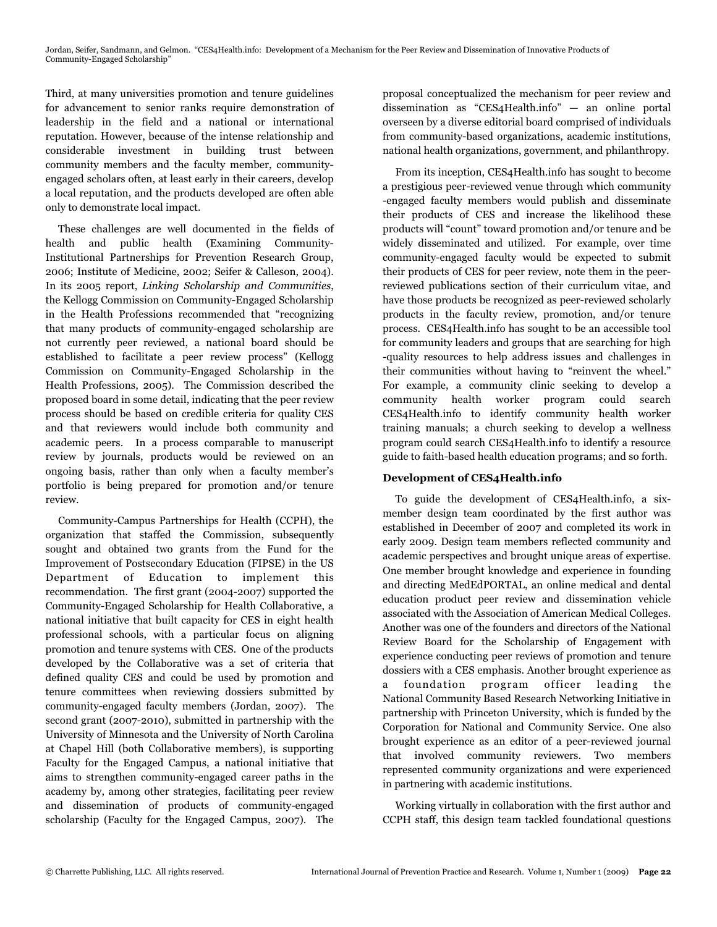Third, at many universities promotion and tenure guidelines for advancement to senior ranks require demonstration of leadership in the field and a national or international reputation. However, because of the intense relationship and considerable investment in building trust between community members and the faculty member, communityengaged scholars often, at least early in their careers, develop a local reputation, and the products developed are often able only to demonstrate local impact.

 These challenges are well documented in the fields of health and public health (Examining Community-Institutional Partnerships for Prevention Research Group, 2006; Institute of Medicine, 2002; Seifer & Calleson, 2004). In its 2005 report, *Linking Scholarship and Communities*, the Kellogg Commission on Community-Engaged Scholarship in the Health Professions recommended that "recognizing that many products of community-engaged scholarship are not currently peer reviewed, a national board should be established to facilitate a peer review process" (Kellogg Commission on Community-Engaged Scholarship in the Health Professions, 2005). The Commission described the proposed board in some detail, indicating that the peer review process should be based on credible criteria for quality CES and that reviewers would include both community and academic peers. In a process comparable to manuscript review by journals, products would be reviewed on an ongoing basis, rather than only when a faculty member's portfolio is being prepared for promotion and/or tenure review.

 Community-Campus Partnerships for Health (CCPH), the organization that staffed the Commission, subsequently sought and obtained two grants from the Fund for the Improvement of Postsecondary Education (FIPSE) in the US Department of Education to implement this recommendation. The first grant (2004-2007) supported the Community-Engaged Scholarship for Health Collaborative, a national initiative that built capacity for CES in eight health professional schools, with a particular focus on aligning promotion and tenure systems with CES. One of the products developed by the Collaborative was a set of criteria that defined quality CES and could be used by promotion and tenure committees when reviewing dossiers submitted by community-engaged faculty members (Jordan, 2007). The second grant (2007-2010), submitted in partnership with the University of Minnesota and the University of North Carolina at Chapel Hill (both Collaborative members), is supporting Faculty for the Engaged Campus, a national initiative that aims to strengthen community-engaged career paths in the academy by, among other strategies, facilitating peer review and dissemination of products of community-engaged scholarship (Faculty for the Engaged Campus, 2007). The

proposal conceptualized the mechanism for peer review and dissemination as "CES4Health.info" — an online portal overseen by a diverse editorial board comprised of individuals from community-based organizations, academic institutions, national health organizations, government, and philanthropy.

 From its inception, CES4Health.info has sought to become a prestigious peer-reviewed venue through which community -engaged faculty members would publish and disseminate their products of CES and increase the likelihood these products will "count" toward promotion and/or tenure and be widely disseminated and utilized. For example, over time community-engaged faculty would be expected to submit their products of CES for peer review, note them in the peerreviewed publications section of their curriculum vitae, and have those products be recognized as peer-reviewed scholarly products in the faculty review, promotion, and/or tenure process. CES4Health.info has sought to be an accessible tool for community leaders and groups that are searching for high -quality resources to help address issues and challenges in their communities without having to "reinvent the wheel." For example, a community clinic seeking to develop a community health worker program could search CES4Health.info to identify community health worker training manuals; a church seeking to develop a wellness program could search CES4Health.info to identify a resource guide to faith-based health education programs; and so forth.

# **Development of CES4Health.info**

 To guide the development of CES4Health.info, a sixmember design team coordinated by the first author was established in December of 2007 and completed its work in early 2009. Design team members reflected community and academic perspectives and brought unique areas of expertise. One member brought knowledge and experience in founding and directing MedEdPORTAL, an online medical and dental education product peer review and dissemination vehicle associated with the Association of American Medical Colleges. Another was one of the founders and directors of the National Review Board for the Scholarship of Engagement with experience conducting peer reviews of promotion and tenure dossiers with a CES emphasis. Another brought experience as a foundation program officer leading the National Community Based Research Networking Initiative in partnership with Princeton University, which is funded by the Corporation for National and Community Service. One also brought experience as an editor of a peer-reviewed journal that involved community reviewers. Two members represented community organizations and were experienced in partnering with academic institutions.

 Working virtually in collaboration with the first author and CCPH staff, this design team tackled foundational questions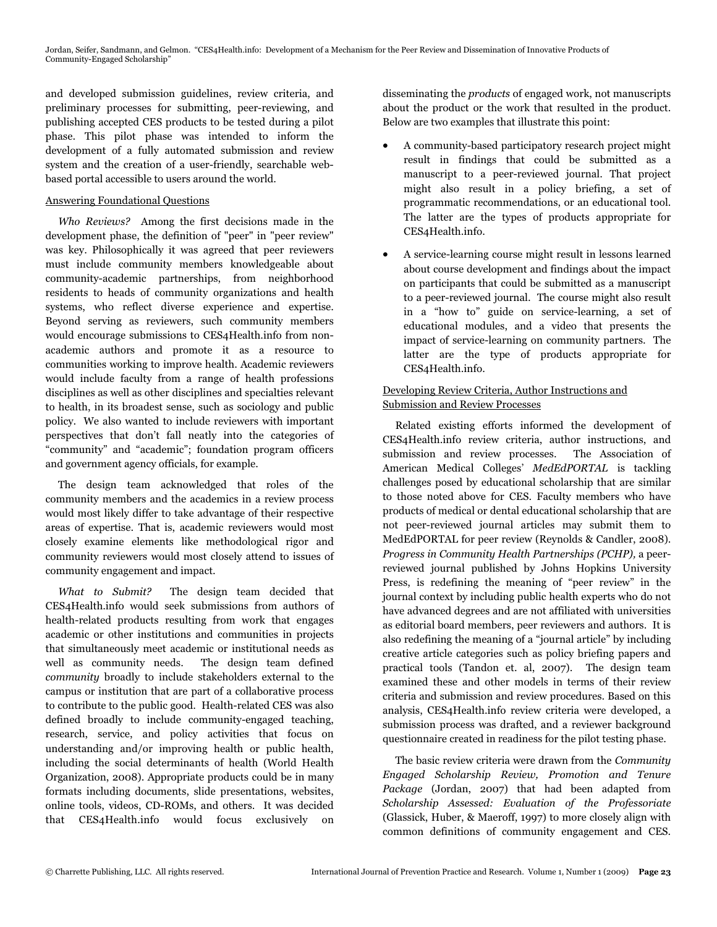Jordan, Seifer, Sandmann, and Gelmon. "CES4Health.info: Development of a Mechanism for the Peer Review and Dissemination of Innovative Products of Community-Engaged Scholarship"

and developed submission guidelines, review criteria, and preliminary processes for submitting, peer-reviewing, and publishing accepted CES products to be tested during a pilot phase. This pilot phase was intended to inform the development of a fully automated submission and review system and the creation of a user-friendly, searchable webbased portal accessible to users around the world.

## Answering Foundational Questions

 *Who Reviews?* Among the first decisions made in the development phase, the definition of "peer" in "peer review" was key. Philosophically it was agreed that peer reviewers must include community members knowledgeable about community-academic partnerships, from neighborhood residents to heads of community organizations and health systems, who reflect diverse experience and expertise. Beyond serving as reviewers, such community members would encourage submissions to CES4Health.info from nonacademic authors and promote it as a resource to communities working to improve health. Academic reviewers would include faculty from a range of health professions disciplines as well as other disciplines and specialties relevant to health, in its broadest sense, such as sociology and public policy. We also wanted to include reviewers with important perspectives that don't fall neatly into the categories of "community" and "academic"; foundation program officers and government agency officials, for example.

 The design team acknowledged that roles of the community members and the academics in a review process would most likely differ to take advantage of their respective areas of expertise. That is, academic reviewers would most closely examine elements like methodological rigor and community reviewers would most closely attend to issues of community engagement and impact.

 *What to Submit?* The design team decided that CES4Health.info would seek submissions from authors of health-related products resulting from work that engages academic or other institutions and communities in projects that simultaneously meet academic or institutional needs as well as community needs. The design team defined *community* broadly to include stakeholders external to the campus or institution that are part of a collaborative process to contribute to the public good. Health-related CES was also defined broadly to include community-engaged teaching, research, service, and policy activities that focus on understanding and/or improving health or public health, including the social determinants of health (World Health Organization, 2008). Appropriate products could be in many formats including documents, slide presentations, websites, online tools, videos, CD-ROMs, and others. It was decided that CES4Health.info would focus exclusively on

disseminating the *products* of engaged work, not manuscripts about the product or the work that resulted in the product. Below are two examples that illustrate this point:

- ! A community-based participatory research project might result in findings that could be submitted as a manuscript to a peer-reviewed journal. That project might also result in a policy briefing, a set of programmatic recommendations, or an educational tool. The latter are the types of products appropriate for CES4Health.info.
- ! A service-learning course might result in lessons learned about course development and findings about the impact on participants that could be submitted as a manuscript to a peer-reviewed journal. The course might also result in a "how to" guide on service-learning, a set of educational modules, and a video that presents the impact of service-learning on community partners. The latter are the type of products appropriate for CES4Health.info.

## Developing Review Criteria, Author Instructions and Submission and Review Processes

 Related existing efforts informed the development of CES4Health.info review criteria, author instructions, and submission and review processes. The Association of American Medical Colleges' *MedEdPORTAL* is tackling challenges posed by educational scholarship that are similar to those noted above for CES. Faculty members who have products of medical or dental educational scholarship that are not peer-reviewed journal articles may submit them to MedEdPORTAL for peer review (Reynolds & Candler, 2008). *Progress in Community Health Partnerships (PCHP),* a peerreviewed journal published by Johns Hopkins University Press, is redefining the meaning of "peer review" in the journal context by including public health experts who do not have advanced degrees and are not affiliated with universities as editorial board members, peer reviewers and authors. It is also redefining the meaning of a "journal article" by including creative article categories such as policy briefing papers and practical tools (Tandon et. al, 2007). The design team examined these and other models in terms of their review criteria and submission and review procedures. Based on this analysis, CES4Health.info review criteria were developed, a submission process was drafted, and a reviewer background questionnaire created in readiness for the pilot testing phase.

 The basic review criteria were drawn from the *Community Engaged Scholarship Review, Promotion and Tenure Package* (Jordan, 2007) that had been adapted from *Scholarship Assessed: Evaluation of the Professoriate* (Glassick, Huber, & Maeroff, 1997) to more closely align with common definitions of community engagement and CES.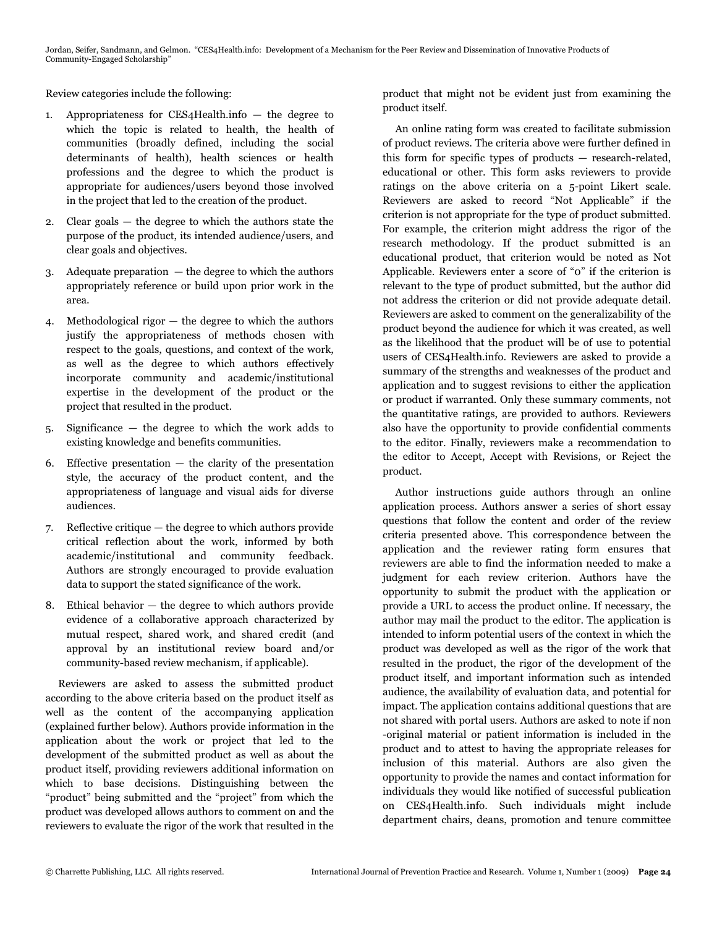Review categories include the following:

- 1. Appropriateness for CES4Health.info the degree to which the topic is related to health, the health of communities (broadly defined, including the social determinants of health), health sciences or health professions and the degree to which the product is appropriate for audiences/users beyond those involved in the project that led to the creation of the product.
- 2. Clear goals the degree to which the authors state the purpose of the product, its intended audience/users, and clear goals and objectives.
- 3. Adequate preparation  $-$  the degree to which the authors appropriately reference or build upon prior work in the area.
- 4. Methodological rigor the degree to which the authors justify the appropriateness of methods chosen with respect to the goals, questions, and context of the work, as well as the degree to which authors effectively incorporate community and academic/institutional expertise in the development of the product or the project that resulted in the product.
- 5. Significance the degree to which the work adds to existing knowledge and benefits communities.
- 6. Effective presentation  $-$  the clarity of the presentation style, the accuracy of the product content, and the appropriateness of language and visual aids for diverse audiences.
- 7. Reflective critique the degree to which authors provide critical reflection about the work, informed by both academic/institutional and community feedback. Authors are strongly encouraged to provide evaluation data to support the stated significance of the work.
- 8. Ethical behavior the degree to which authors provide evidence of a collaborative approach characterized by mutual respect, shared work, and shared credit (and approval by an institutional review board and/or community-based review mechanism, if applicable).

 Reviewers are asked to assess the submitted product according to the above criteria based on the product itself as well as the content of the accompanying application (explained further below). Authors provide information in the application about the work or project that led to the development of the submitted product as well as about the product itself, providing reviewers additional information on which to base decisions. Distinguishing between the "product" being submitted and the "project" from which the product was developed allows authors to comment on and the reviewers to evaluate the rigor of the work that resulted in the

product that might not be evident just from examining the product itself.

 An online rating form was created to facilitate submission of product reviews. The criteria above were further defined in this form for specific types of products — research-related, educational or other. This form asks reviewers to provide ratings on the above criteria on a 5-point Likert scale. Reviewers are asked to record "Not Applicable" if the criterion is not appropriate for the type of product submitted. For example, the criterion might address the rigor of the research methodology. If the product submitted is an educational product, that criterion would be noted as Not Applicable. Reviewers enter a score of "0" if the criterion is relevant to the type of product submitted, but the author did not address the criterion or did not provide adequate detail. Reviewers are asked to comment on the generalizability of the product beyond the audience for which it was created, as well as the likelihood that the product will be of use to potential users of CES4Health.info. Reviewers are asked to provide a summary of the strengths and weaknesses of the product and application and to suggest revisions to either the application or product if warranted. Only these summary comments, not the quantitative ratings, are provided to authors. Reviewers also have the opportunity to provide confidential comments to the editor. Finally, reviewers make a recommendation to the editor to Accept, Accept with Revisions, or Reject the product.

 Author instructions guide authors through an online application process. Authors answer a series of short essay questions that follow the content and order of the review criteria presented above. This correspondence between the application and the reviewer rating form ensures that reviewers are able to find the information needed to make a judgment for each review criterion. Authors have the opportunity to submit the product with the application or provide a URL to access the product online. If necessary, the author may mail the product to the editor. The application is intended to inform potential users of the context in which the product was developed as well as the rigor of the work that resulted in the product, the rigor of the development of the product itself, and important information such as intended audience, the availability of evaluation data, and potential for impact. The application contains additional questions that are not shared with portal users. Authors are asked to note if non -original material or patient information is included in the product and to attest to having the appropriate releases for inclusion of this material. Authors are also given the opportunity to provide the names and contact information for individuals they would like notified of successful publication on CES4Health.info. Such individuals might include department chairs, deans, promotion and tenure committee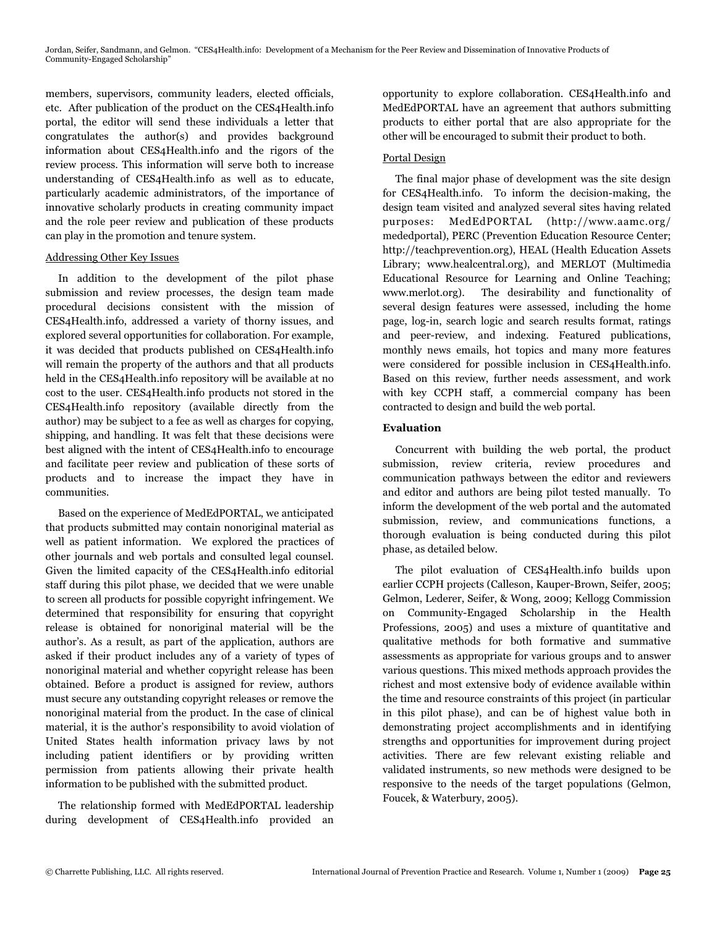Jordan, Seifer, Sandmann, and Gelmon. "CES4Health.info: Development of a Mechanism for the Peer Review and Dissemination of Innovative Products of Community-Engaged Scholarship"

members, supervisors, community leaders, elected officials, etc. After publication of the product on the CES4Health.info portal, the editor will send these individuals a letter that congratulates the author(s) and provides background information about CES4Health.info and the rigors of the review process. This information will serve both to increase understanding of CES4Health.info as well as to educate, particularly academic administrators, of the importance of innovative scholarly products in creating community impact and the role peer review and publication of these products can play in the promotion and tenure system.

#### Addressing Other Key Issues

 In addition to the development of the pilot phase submission and review processes, the design team made procedural decisions consistent with the mission of CES4Health.info, addressed a variety of thorny issues, and explored several opportunities for collaboration. For example, it was decided that products published on CES4Health.info will remain the property of the authors and that all products held in the CES4Health.info repository will be available at no cost to the user. CES4Health.info products not stored in the CES4Health.info repository (available directly from the author) may be subject to a fee as well as charges for copying, shipping, and handling. It was felt that these decisions were best aligned with the intent of CES4Health.info to encourage and facilitate peer review and publication of these sorts of products and to increase the impact they have in communities.

 Based on the experience of MedEdPORTAL, we anticipated that products submitted may contain nonoriginal material as well as patient information. We explored the practices of other journals and web portals and consulted legal counsel. Given the limited capacity of the CES4Health.info editorial staff during this pilot phase, we decided that we were unable to screen all products for possible copyright infringement. We determined that responsibility for ensuring that copyright release is obtained for nonoriginal material will be the author's. As a result, as part of the application, authors are asked if their product includes any of a variety of types of nonoriginal material and whether copyright release has been obtained. Before a product is assigned for review, authors must secure any outstanding copyright releases or remove the nonoriginal material from the product. In the case of clinical material, it is the author's responsibility to avoid violation of United States health information privacy laws by not including patient identifiers or by providing written permission from patients allowing their private health information to be published with the submitted product.

 The relationship formed with MedEdPORTAL leadership during development of CES4Health.info provided an opportunity to explore collaboration. CES4Health.info and MedEdPORTAL have an agreement that authors submitting products to either portal that are also appropriate for the other will be encouraged to submit their product to both.

## Portal Design

 The final major phase of development was the site design for CES4Health.info. To inform the decision-making, the design team visited and analyzed several sites having related purposes: MedEdPORTAL (http://www.aamc.org/ mededportal), PERC (Prevention Education Resource Center; http://teachprevention.org), HEAL (Health Education Assets Library; www.healcentral.org), and MERLOT (Multimedia Educational Resource for Learning and Online Teaching; www.merlot.org). The desirability and functionality of several design features were assessed, including the home page, log-in, search logic and search results format, ratings and peer-review, and indexing. Featured publications, monthly news emails, hot topics and many more features were considered for possible inclusion in CES4Health.info. Based on this review, further needs assessment, and work with key CCPH staff, a commercial company has been contracted to design and build the web portal.

## **Evaluation**

 Concurrent with building the web portal, the product submission, review criteria, review procedures and communication pathways between the editor and reviewers and editor and authors are being pilot tested manually. To inform the development of the web portal and the automated submission, review, and communications functions, a thorough evaluation is being conducted during this pilot phase, as detailed below.

 The pilot evaluation of CES4Health.info builds upon earlier CCPH projects (Calleson, Kauper-Brown, Seifer, 2005; Gelmon, Lederer, Seifer, & Wong, 2009; Kellogg Commission on Community-Engaged Scholarship in the Health Professions, 2005) and uses a mixture of quantitative and qualitative methods for both formative and summative assessments as appropriate for various groups and to answer various questions. This mixed methods approach provides the richest and most extensive body of evidence available within the time and resource constraints of this project (in particular in this pilot phase), and can be of highest value both in demonstrating project accomplishments and in identifying strengths and opportunities for improvement during project activities. There are few relevant existing reliable and validated instruments, so new methods were designed to be responsive to the needs of the target populations (Gelmon, Foucek, & Waterbury, 2005).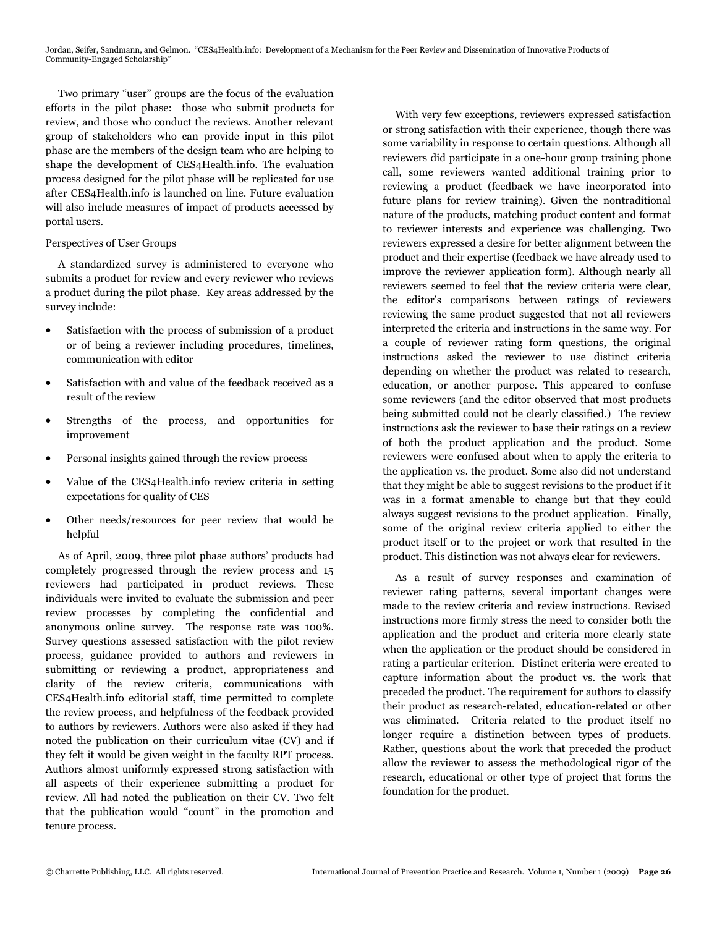Two primary "user" groups are the focus of the evaluation efforts in the pilot phase: those who submit products for review, and those who conduct the reviews. Another relevant group of stakeholders who can provide input in this pilot phase are the members of the design team who are helping to shape the development of CES4Health.info. The evaluation process designed for the pilot phase will be replicated for use after CES4Health.info is launched on line. Future evaluation will also include measures of impact of products accessed by portal users.

## Perspectives of User Groups

 A standardized survey is administered to everyone who submits a product for review and every reviewer who reviews a product during the pilot phase. Key areas addressed by the survey include:

- Satisfaction with the process of submission of a product or of being a reviewer including procedures, timelines, communication with editor
- Satisfaction with and value of the feedback received as a result of the review
- ! Strengths of the process, and opportunities for improvement
- ! Personal insights gained through the review process
- ! Value of the CES4Health.info review criteria in setting expectations for quality of CES
- Other needs/resources for peer review that would be helpful

 As of April, 2009, three pilot phase authors' products had completely progressed through the review process and 15 reviewers had participated in product reviews. These individuals were invited to evaluate the submission and peer review processes by completing the confidential and anonymous online survey. The response rate was 100%. Survey questions assessed satisfaction with the pilot review process, guidance provided to authors and reviewers in submitting or reviewing a product, appropriateness and clarity of the review criteria, communications with CES4Health.info editorial staff, time permitted to complete the review process, and helpfulness of the feedback provided to authors by reviewers. Authors were also asked if they had noted the publication on their curriculum vitae (CV) and if they felt it would be given weight in the faculty RPT process. Authors almost uniformly expressed strong satisfaction with all aspects of their experience submitting a product for review. All had noted the publication on their CV. Two felt that the publication would "count" in the promotion and tenure process.

 With very few exceptions, reviewers expressed satisfaction or strong satisfaction with their experience, though there was some variability in response to certain questions. Although all reviewers did participate in a one-hour group training phone call, some reviewers wanted additional training prior to reviewing a product (feedback we have incorporated into future plans for review training). Given the nontraditional nature of the products, matching product content and format to reviewer interests and experience was challenging. Two reviewers expressed a desire for better alignment between the product and their expertise (feedback we have already used to improve the reviewer application form). Although nearly all reviewers seemed to feel that the review criteria were clear, the editor's comparisons between ratings of reviewers reviewing the same product suggested that not all reviewers interpreted the criteria and instructions in the same way. For a couple of reviewer rating form questions, the original instructions asked the reviewer to use distinct criteria depending on whether the product was related to research, education, or another purpose. This appeared to confuse some reviewers (and the editor observed that most products being submitted could not be clearly classified.) The review instructions ask the reviewer to base their ratings on a review of both the product application and the product. Some reviewers were confused about when to apply the criteria to the application vs. the product. Some also did not understand that they might be able to suggest revisions to the product if it was in a format amenable to change but that they could always suggest revisions to the product application. Finally, some of the original review criteria applied to either the product itself or to the project or work that resulted in the product. This distinction was not always clear for reviewers.

 As a result of survey responses and examination of reviewer rating patterns, several important changes were made to the review criteria and review instructions. Revised instructions more firmly stress the need to consider both the application and the product and criteria more clearly state when the application or the product should be considered in rating a particular criterion. Distinct criteria were created to capture information about the product vs. the work that preceded the product. The requirement for authors to classify their product as research-related, education-related or other was eliminated. Criteria related to the product itself no longer require a distinction between types of products. Rather, questions about the work that preceded the product allow the reviewer to assess the methodological rigor of the research, educational or other type of project that forms the foundation for the product.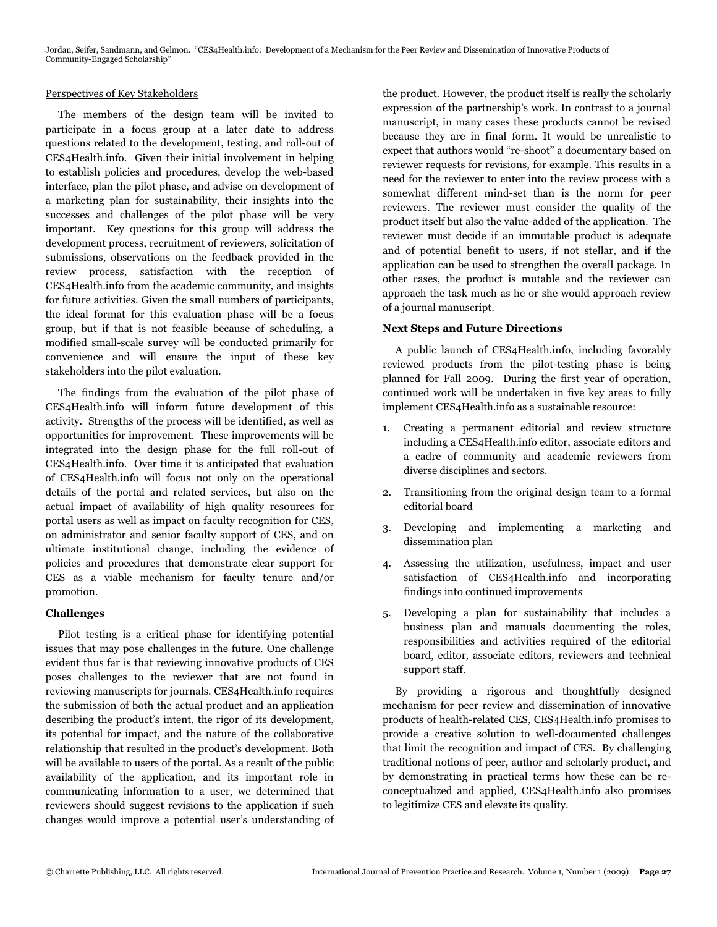## Perspectives of Key Stakeholders

 The members of the design team will be invited to participate in a focus group at a later date to address questions related to the development, testing, and roll-out of CES4Health.info. Given their initial involvement in helping to establish policies and procedures, develop the web-based interface, plan the pilot phase, and advise on development of a marketing plan for sustainability, their insights into the successes and challenges of the pilot phase will be very important. Key questions for this group will address the development process, recruitment of reviewers, solicitation of submissions, observations on the feedback provided in the review process, satisfaction with the reception of CES4Health.info from the academic community, and insights for future activities. Given the small numbers of participants, the ideal format for this evaluation phase will be a focus group, but if that is not feasible because of scheduling, a modified small-scale survey will be conducted primarily for convenience and will ensure the input of these key stakeholders into the pilot evaluation.

 The findings from the evaluation of the pilot phase of CES4Health.info will inform future development of this activity. Strengths of the process will be identified, as well as opportunities for improvement. These improvements will be integrated into the design phase for the full roll-out of CES4Health.info. Over time it is anticipated that evaluation of CES4Health.info will focus not only on the operational details of the portal and related services, but also on the actual impact of availability of high quality resources for portal users as well as impact on faculty recognition for CES, on administrator and senior faculty support of CES, and on ultimate institutional change, including the evidence of policies and procedures that demonstrate clear support for CES as a viable mechanism for faculty tenure and/or promotion.

# **Challenges**

 Pilot testing is a critical phase for identifying potential issues that may pose challenges in the future. One challenge evident thus far is that reviewing innovative products of CES poses challenges to the reviewer that are not found in reviewing manuscripts for journals. CES4Health.info requires the submission of both the actual product and an application describing the product's intent, the rigor of its development, its potential for impact, and the nature of the collaborative relationship that resulted in the product's development. Both will be available to users of the portal. As a result of the public availability of the application, and its important role in communicating information to a user, we determined that reviewers should suggest revisions to the application if such changes would improve a potential user's understanding of the product. However, the product itself is really the scholarly expression of the partnership's work. In contrast to a journal manuscript, in many cases these products cannot be revised because they are in final form. It would be unrealistic to expect that authors would "re-shoot" a documentary based on reviewer requests for revisions, for example. This results in a need for the reviewer to enter into the review process with a somewhat different mind-set than is the norm for peer reviewers. The reviewer must consider the quality of the product itself but also the value-added of the application. The reviewer must decide if an immutable product is adequate and of potential benefit to users, if not stellar, and if the application can be used to strengthen the overall package. In other cases, the product is mutable and the reviewer can approach the task much as he or she would approach review of a journal manuscript.

## **Next Steps and Future Directions**

 A public launch of CES4Health.info, including favorably reviewed products from the pilot-testing phase is being planned for Fall 2009. During the first year of operation, continued work will be undertaken in five key areas to fully implement CES4Health.info as a sustainable resource:

- 1. Creating a permanent editorial and review structure including a CES4Health.info editor, associate editors and a cadre of community and academic reviewers from diverse disciplines and sectors.
- 2. Transitioning from the original design team to a formal editorial board
- 3. Developing and implementing a marketing and dissemination plan
- 4. Assessing the utilization, usefulness, impact and user satisfaction of CES4Health.info and incorporating findings into continued improvements
- 5. Developing a plan for sustainability that includes a business plan and manuals documenting the roles, responsibilities and activities required of the editorial board, editor, associate editors, reviewers and technical support staff.

 By providing a rigorous and thoughtfully designed mechanism for peer review and dissemination of innovative products of health-related CES, CES4Health.info promises to provide a creative solution to well-documented challenges that limit the recognition and impact of CES. By challenging traditional notions of peer, author and scholarly product, and by demonstrating in practical terms how these can be reconceptualized and applied, CES4Health.info also promises to legitimize CES and elevate its quality.